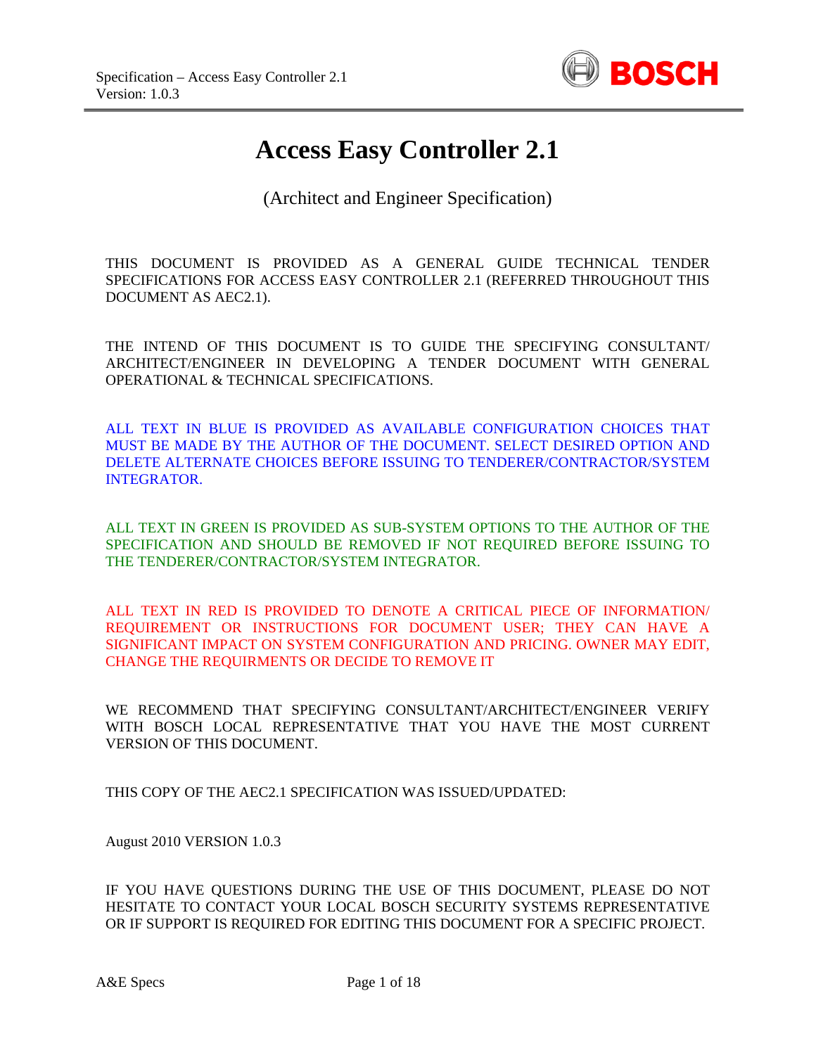

# **Access Easy Controller 2.1**

(Architect and Engineer Specification)

THIS DOCUMENT IS PROVIDED AS A GENERAL GUIDE TECHNICAL TENDER SPECIFICATIONS FOR ACCESS EASY CONTROLLER 2.1 (REFERRED THROUGHOUT THIS DOCUMENT AS AEC2.1).

THE INTEND OF THIS DOCUMENT IS TO GUIDE THE SPECIFYING CONSULTANT/ ARCHITECT/ENGINEER IN DEVELOPING A TENDER DOCUMENT WITH GENERAL OPERATIONAL & TECHNICAL SPECIFICATIONS.

ALL TEXT IN BLUE IS PROVIDED AS AVAILABLE CONFIGURATION CHOICES THAT MUST BE MADE BY THE AUTHOR OF THE DOCUMENT. SELECT DESIRED OPTION AND DELETE ALTERNATE CHOICES BEFORE ISSUING TO TENDERER/CONTRACTOR/SYSTEM INTEGRATOR.

ALL TEXT IN GREEN IS PROVIDED AS SUB-SYSTEM OPTIONS TO THE AUTHOR OF THE SPECIFICATION AND SHOULD BE REMOVED IF NOT REQUIRED BEFORE ISSUING TO THE TENDERER/CONTRACTOR/SYSTEM INTEGRATOR.

ALL TEXT IN RED IS PROVIDED TO DENOTE A CRITICAL PIECE OF INFORMATION/ REQUIREMENT OR INSTRUCTIONS FOR DOCUMENT USER; THEY CAN HAVE A SIGNIFICANT IMPACT ON SYSTEM CONFIGURATION AND PRICING. OWNER MAY EDIT, CHANGE THE REQUIRMENTS OR DECIDE TO REMOVE IT

WE RECOMMEND THAT SPECIFYING CONSULTANT/ARCHITECT/ENGINEER VERIFY WITH BOSCH LOCAL REPRESENTATIVE THAT YOU HAVE THE MOST CURRENT VERSION OF THIS DOCUMENT.

THIS COPY OF THE AEC2.1 SPECIFICATION WAS ISSUED/UPDATED:

August 2010 VERSION 1.0.3

IF YOU HAVE QUESTIONS DURING THE USE OF THIS DOCUMENT, PLEASE DO NOT HESITATE TO CONTACT YOUR LOCAL BOSCH SECURITY SYSTEMS REPRESENTATIVE OR IF SUPPORT IS REQUIRED FOR EDITING THIS DOCUMENT FOR A SPECIFIC PROJECT.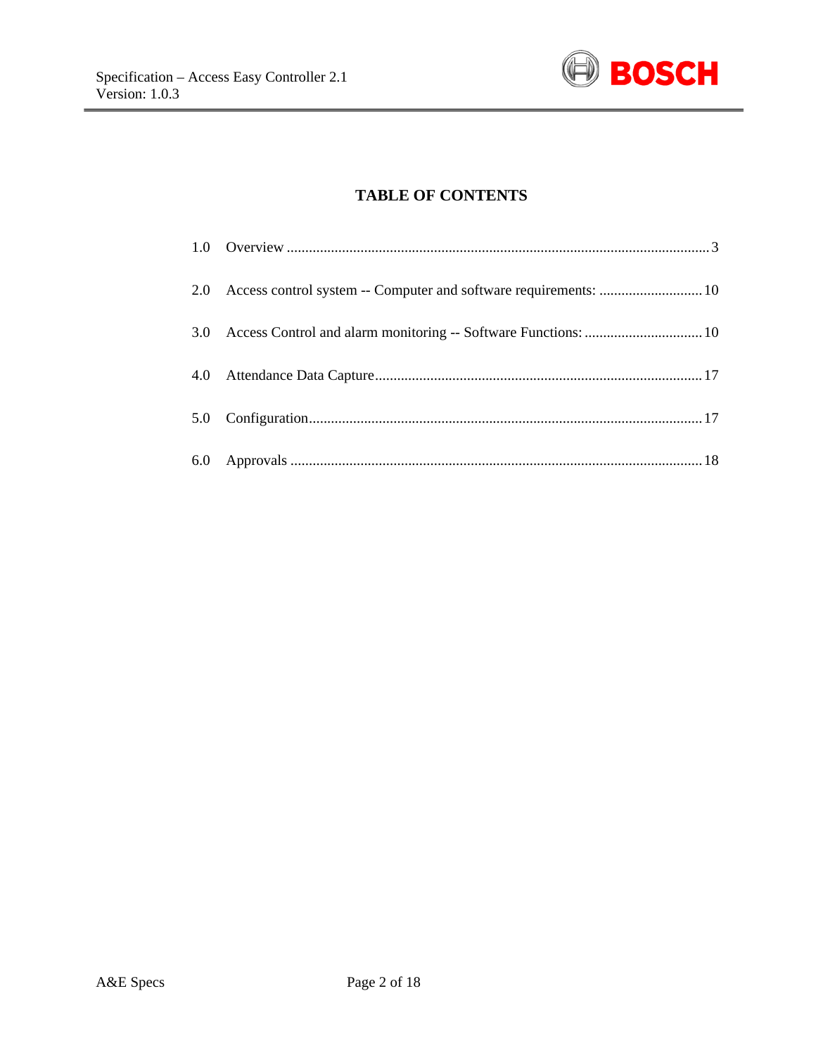

# **TABLE OF CONTENTS**

| 2.0 Access control system -- Computer and software requirements:  10 |
|----------------------------------------------------------------------|
|                                                                      |
|                                                                      |
|                                                                      |
|                                                                      |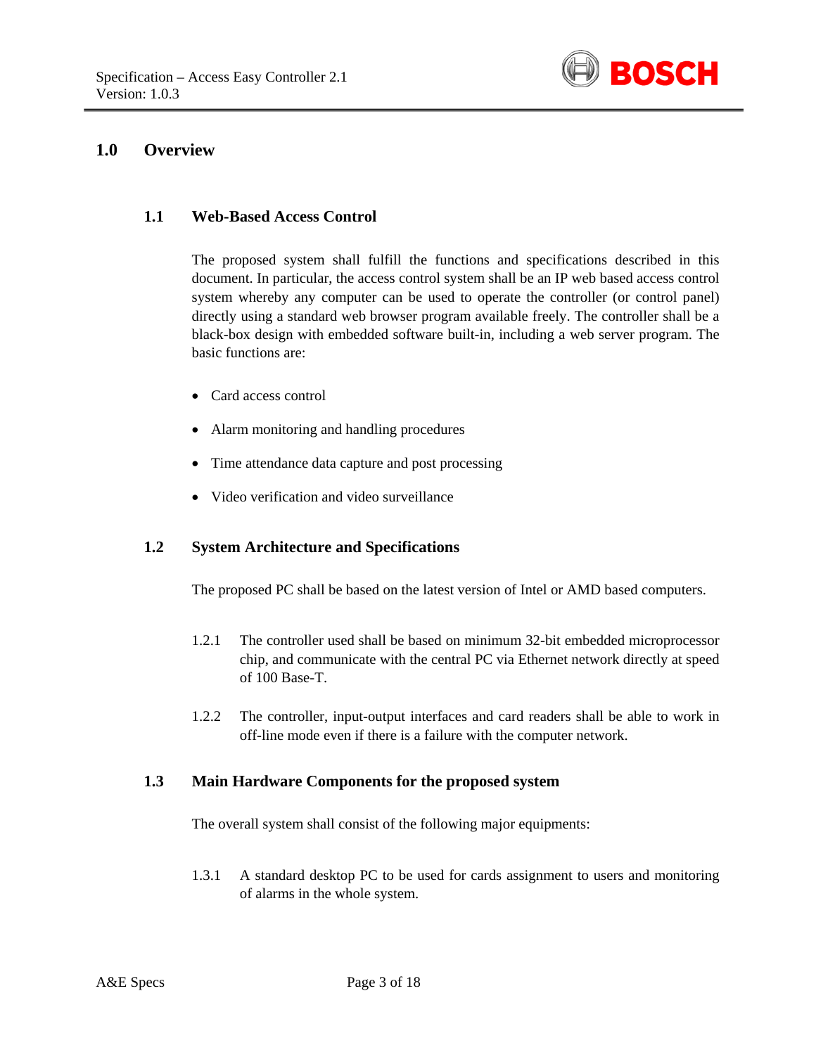

# <span id="page-2-0"></span>**1.0 Overview**

### **1.1 Web-Based Access Control**

The proposed system shall fulfill the functions and specifications described in this document. In particular, the access control system shall be an IP web based access control system whereby any computer can be used to operate the controller (or control panel) directly using a standard web browser program available freely. The controller shall be a black-box design with embedded software built-in, including a web server program. The basic functions are:

- Card access control
- Alarm monitoring and handling procedures
- Time attendance data capture and post processing
- Video verification and video surveillance

# **1.2 System Architecture and Specifications**

The proposed PC shall be based on the latest version of Intel or AMD based computers.

- 1.2.1 The controller used shall be based on minimum 32-bit embedded microprocessor chip, and communicate with the central PC via Ethernet network directly at speed of 100 Base-T.
- 1.2.2 The controller, input-output interfaces and card readers shall be able to work in off-line mode even if there is a failure with the computer network.

# **1.3 Main Hardware Components for the proposed system**

The overall system shall consist of the following major equipments:

1.3.1 A standard desktop PC to be used for cards assignment to users and monitoring of alarms in the whole system.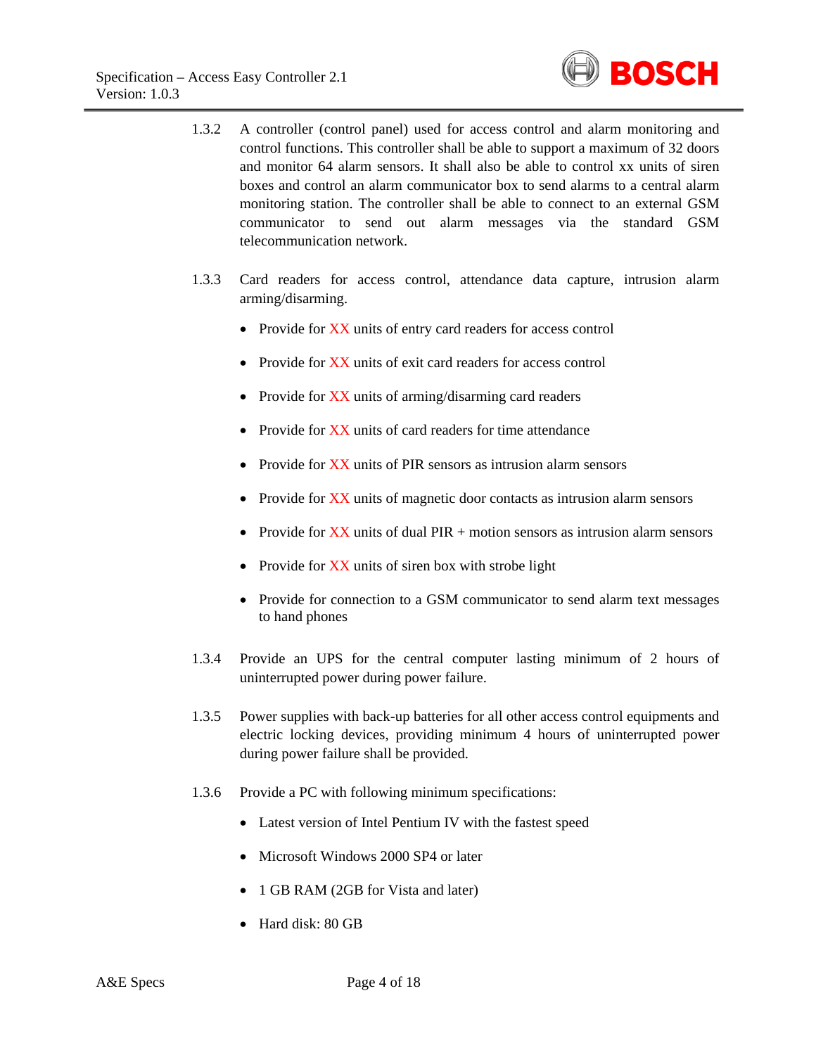

- 1.3.2 A controller (control panel) used for access control and alarm monitoring and control functions. This controller shall be able to support a maximum of 32 doors and monitor 64 alarm sensors. It shall also be able to control xx units of siren boxes and control an alarm communicator box to send alarms to a central alarm monitoring station. The controller shall be able to connect to an external GSM communicator to send out alarm messages via the standard GSM telecommunication network.
- 1.3.3 Card readers for access control, attendance data capture, intrusion alarm arming/disarming.
	- Provide for XX units of entry card readers for access control
	- Provide for XX units of exit card readers for access control
	- Provide for XX units of arming/disarming card readers
	- Provide for XX units of card readers for time attendance
	- Provide for XX units of PIR sensors as intrusion alarm sensors
	- Provide for  $\overline{XX}$  units of magnetic door contacts as intrusion alarm sensors
	- Provide for  $\overline{XX}$  units of dual PIR + motion sensors as intrusion alarm sensors
	- Provide for XX units of siren box with strobe light
	- Provide for connection to a GSM communicator to send alarm text messages to hand phones
- 1.3.4 Provide an UPS for the central computer lasting minimum of 2 hours of uninterrupted power during power failure.
- 1.3.5 Power supplies with back-up batteries for all other access control equipments and electric locking devices, providing minimum 4 hours of uninterrupted power during power failure shall be provided.
- 1.3.6 Provide a PC with following minimum specifications:
	- Latest version of Intel Pentium IV with the fastest speed
	- Microsoft Windows 2000 SP4 or later
	- 1 GB RAM (2GB for Vista and later)
	- Hard disk: 80 GB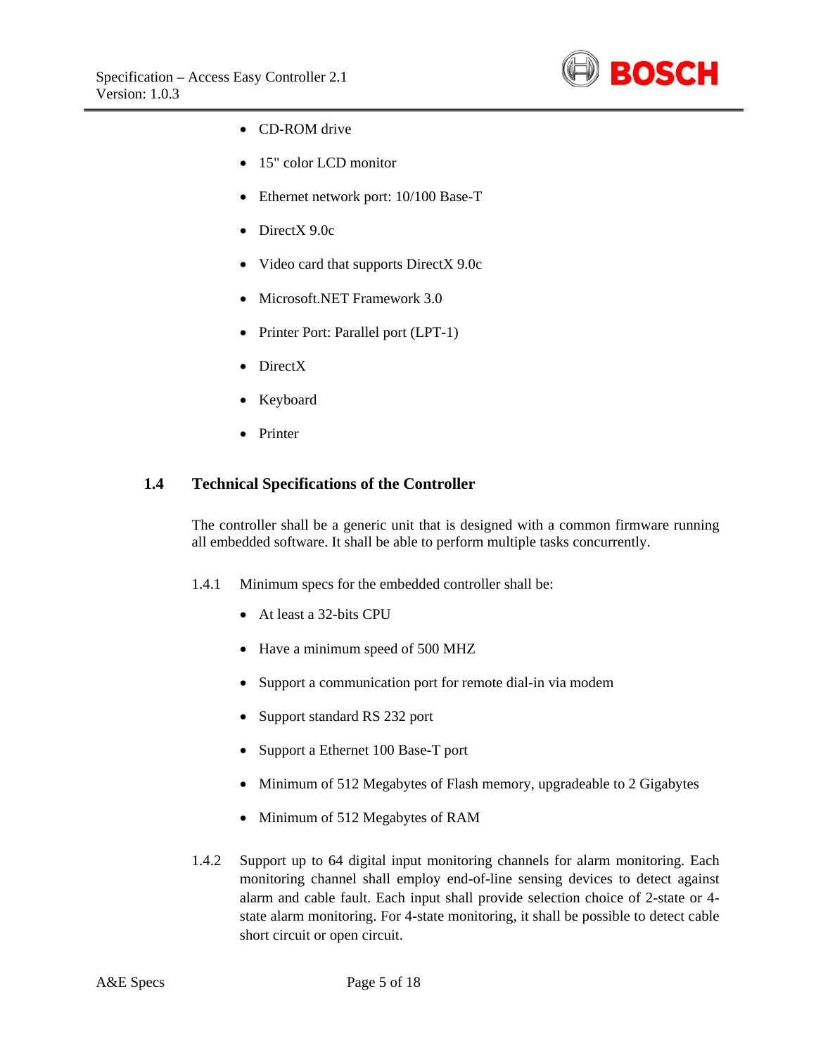

- CD-ROM drive
- 15" color LCD monitor
- Ethernet network port: 10/100 Base-T
- DirectX 9.0c
- Video card that supports Direct X 9.0c
- Microsoft.NET Framework 3.0
- Printer Port: Parallel port (LPT-1)
- DirectX
- Keyboard
- Printer

#### **1.4 Technical Specifications of the Controller**

The controller shall be a generic unit that is designed with a common firmware running all embedded software. It shall be able to perform multiple tasks concurrently.

- 1.4.1 Minimum specs for the embedded controller shall be:
	- At least a 32-bits CPU
	- Have a minimum speed of 500 MHZ
	- Support a communication port for remote dial-in via modem
	- Support standard RS 232 port
	- Support a Ethernet 100 Base-T port
	- Minimum of 512 Megabytes of Flash memory, upgradeable to 2 Gigabytes
	- Minimum of 512 Megabytes of RAM
- 1.4.2 Support up to 64 digital input monitoring channels for alarm monitoring. Each monitoring channel shall employ end-of-line sensing devices to detect against alarm and cable fault. Each input shall provide selection choice of 2-state or 4 state alarm monitoring. For 4-state monitoring, it shall be possible to detect cable short circuit or open circuit.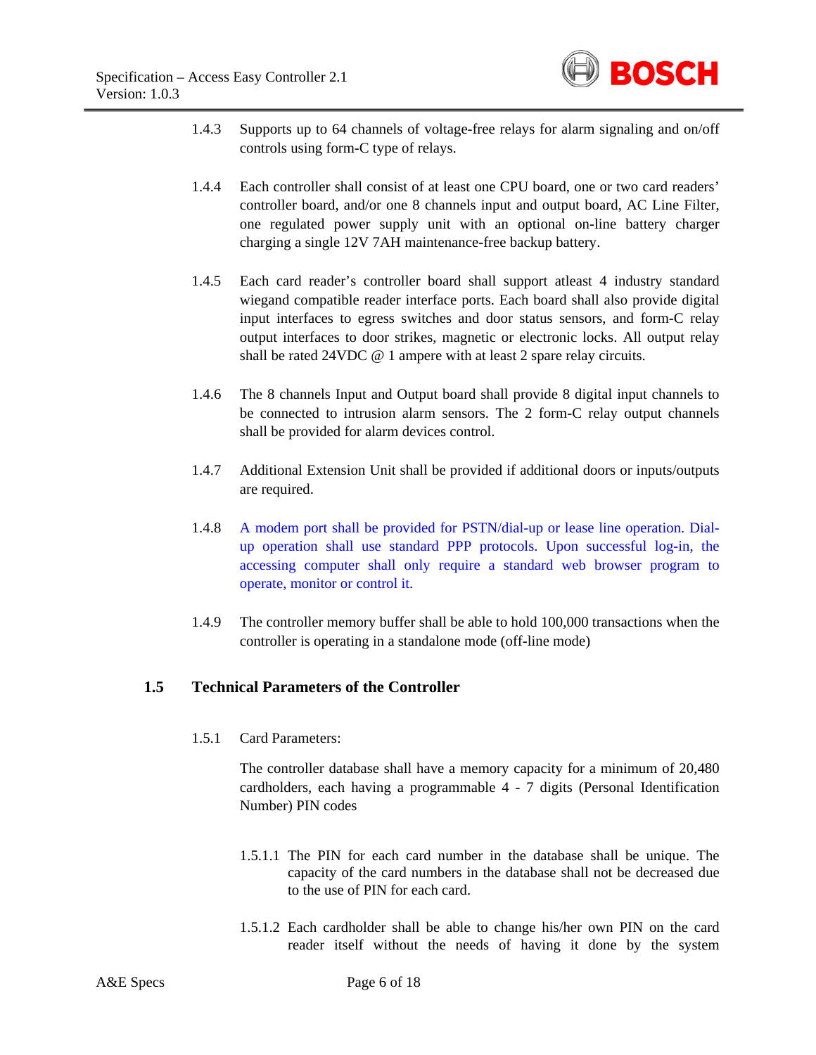

- 1.4.3 Supports up to 64 channels of voltage-free relays for alarm signaling and on/off controls using form-C type of relays.
- 1.4.4 Each controller shall consist of at least one CPU board, one or two card readers' controller board, and/or one 8 channels input and output board, AC Line Filter, one regulated power supply unit with an optional on-line battery charger charging a single 12V 7AH maintenance-free backup battery.
- 1.4.5 Each card reader's controller board shall support atleast 4 industry standard wiegand compatible reader interface ports. Each board shall also provide digital input interfaces to egress switches and door status sensors, and form-C relay output interfaces to door strikes, magnetic or electronic locks. All output relay shall be rated 24VDC @ 1 ampere with at least 2 spare relay circuits.
- 1.4.6 The 8 channels Input and Output board shall provide 8 digital input channels to be connected to intrusion alarm sensors. The 2 form-C relay output channels shall be provided for alarm devices control.
- 1.4.7 Additional Extension Unit shall be provided if additional doors or inputs/outputs are required.
- 1.4.8 A modem port shall be provided for PSTN/dial-up or lease line operation. Dialup operation shall use standard PPP protocols. Upon successful log-in, the accessing computer shall only require a standard web browser program to operate, monitor or control it.
- 1.4.9 The controller memory buffer shall be able to hold 100,000 transactions when the controller is operating in a standalone mode (off-line mode)

# **1.5 Technical Parameters of the Controller**

1.5.1 Card Parameters:

The controller database shall have a memory capacity for a minimum of 20,480 cardholders, each having a programmable 4 - 7 digits (Personal Identification Number) PIN codes

- 1.5.1.1 The PIN for each card number in the database shall be unique. The capacity of the card numbers in the database shall not be decreased due to the use of PIN for each card.
- 1.5.1.2 Each cardholder shall be able to change his/her own PIN on the card reader itself without the needs of having it done by the system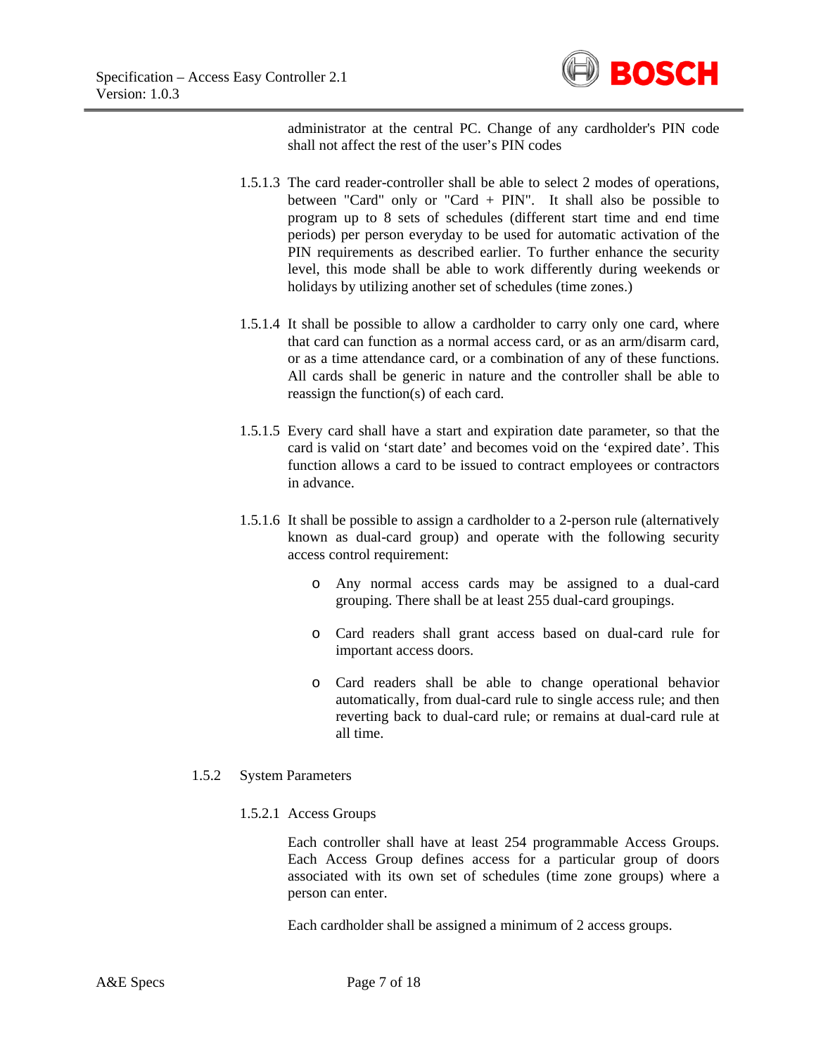

administrator at the central PC. Change of any cardholder's PIN code shall not affect the rest of the user's PIN codes

- 1.5.1.3 The card reader-controller shall be able to select 2 modes of operations, between "Card" only or "Card + PIN". It shall also be possible to program up to 8 sets of schedules (different start time and end time periods) per person everyday to be used for automatic activation of the PIN requirements as described earlier. To further enhance the security level, this mode shall be able to work differently during weekends or holidays by utilizing another set of schedules (time zones.)
- 1.5.1.4 It shall be possible to allow a cardholder to carry only one card, where that card can function as a normal access card, or as an arm/disarm card, or as a time attendance card, or a combination of any of these functions. All cards shall be generic in nature and the controller shall be able to reassign the function(s) of each card.
- 1.5.1.5 Every card shall have a start and expiration date parameter, so that the card is valid on 'start date' and becomes void on the 'expired date'. This function allows a card to be issued to contract employees or contractors in advance.
- 1.5.1.6 It shall be possible to assign a cardholder to a 2-person rule (alternatively known as dual-card group) and operate with the following security access control requirement:
	- o Any normal access cards may be assigned to a dual-card grouping. There shall be at least 255 dual-card groupings.
	- o Card readers shall grant access based on dual-card rule for important access doors.
	- o Card readers shall be able to change operational behavior automatically, from dual-card rule to single access rule; and then reverting back to dual-card rule; or remains at dual-card rule at all time.

#### 1.5.2 System Parameters

1.5.2.1 Access Groups

Each controller shall have at least 254 programmable Access Groups. Each Access Group defines access for a particular group of doors associated with its own set of schedules (time zone groups) where a person can enter.

Each cardholder shall be assigned a minimum of 2 access groups.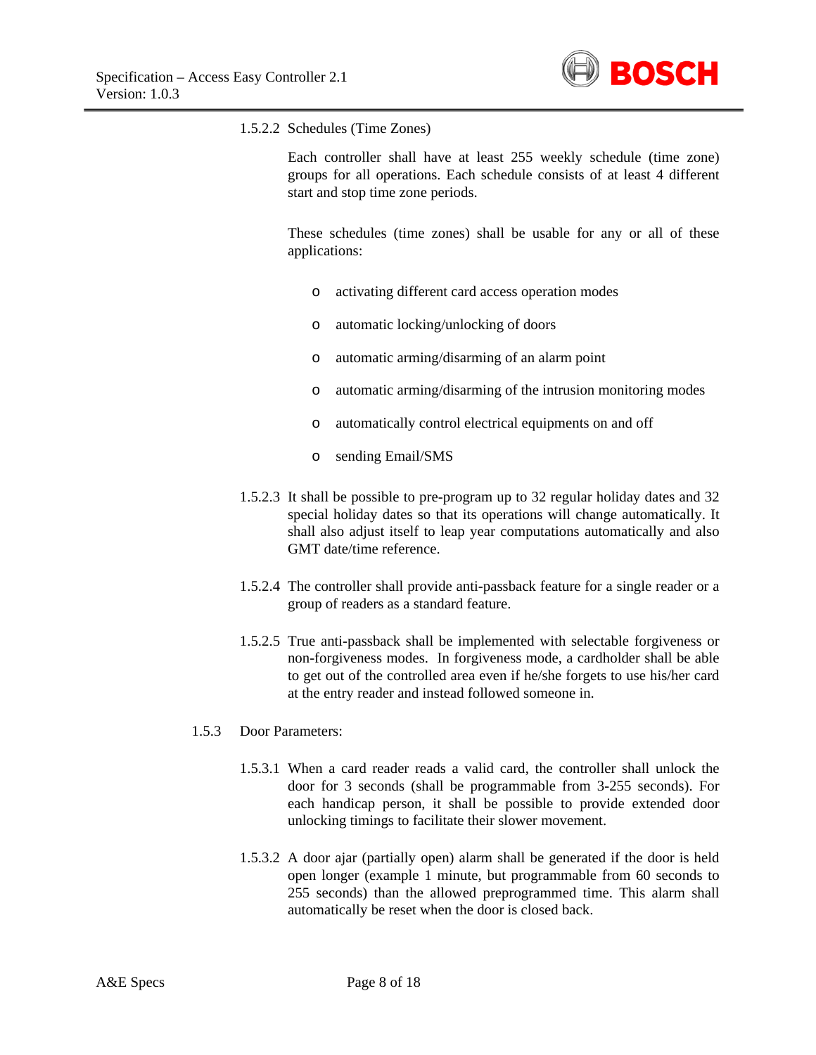

#### 1.5.2.2 Schedules (Time Zones)

Each controller shall have at least 255 weekly schedule (time zone) groups for all operations. Each schedule consists of at least 4 different start and stop time zone periods.

These schedules (time zones) shall be usable for any or all of these applications:

- o activating different card access operation modes
- o automatic locking/unlocking of doors
- o automatic arming/disarming of an alarm point
- o automatic arming/disarming of the intrusion monitoring modes
- o automatically control electrical equipments on and off
- o sending Email/SMS
- 1.5.2.3 It shall be possible to pre-program up to 32 regular holiday dates and 32 special holiday dates so that its operations will change automatically. It shall also adjust itself to leap year computations automatically and also GMT date/time reference.
- 1.5.2.4 The controller shall provide anti-passback feature for a single reader or a group of readers as a standard feature.
- 1.5.2.5 True anti-passback shall be implemented with selectable forgiveness or non-forgiveness modes. In forgiveness mode, a cardholder shall be able to get out of the controlled area even if he/she forgets to use his/her card at the entry reader and instead followed someone in.
- 1.5.3 Door Parameters:
	- 1.5.3.1 When a card reader reads a valid card, the controller shall unlock the door for 3 seconds (shall be programmable from 3-255 seconds). For each handicap person, it shall be possible to provide extended door unlocking timings to facilitate their slower movement.
	- 1.5.3.2 A door ajar (partially open) alarm shall be generated if the door is held open longer (example 1 minute, but programmable from 60 seconds to 255 seconds) than the allowed preprogrammed time. This alarm shall automatically be reset when the door is closed back.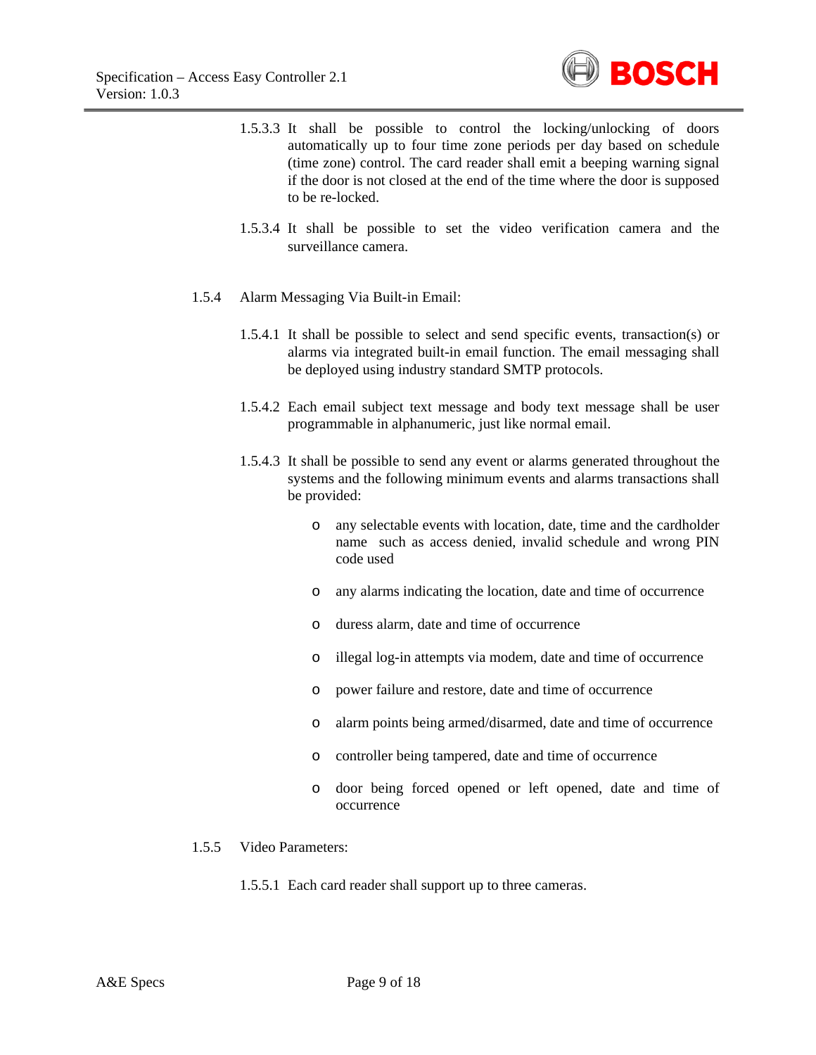

- 1.5.3.3 It shall be possible to control the locking/unlocking of doors automatically up to four time zone periods per day based on schedule (time zone) control. The card reader shall emit a beeping warning signal if the door is not closed at the end of the time where the door is supposed to be re-locked.
- 1.5.3.4 It shall be possible to set the video verification camera and the surveillance camera.
- 1.5.4 Alarm Messaging Via Built-in Email:
	- 1.5.4.1 It shall be possible to select and send specific events, transaction(s) or alarms via integrated built-in email function. The email messaging shall be deployed using industry standard SMTP protocols.
	- 1.5.4.2 Each email subject text message and body text message shall be user programmable in alphanumeric, just like normal email.
	- 1.5.4.3 It shall be possible to send any event or alarms generated throughout the systems and the following minimum events and alarms transactions shall be provided:
		- o any selectable events with location, date, time and the cardholder name such as access denied, invalid schedule and wrong PIN code used
		- o any alarms indicating the location, date and time of occurrence
		- o duress alarm, date and time of occurrence
		- o illegal log-in attempts via modem, date and time of occurrence
		- o power failure and restore, date and time of occurrence
		- o alarm points being armed/disarmed, date and time of occurrence
		- o controller being tampered, date and time of occurrence
		- o door being forced opened or left opened, date and time of occurrence
- 1.5.5 Video Parameters:
	- 1.5.5.1 Each card reader shall support up to three cameras.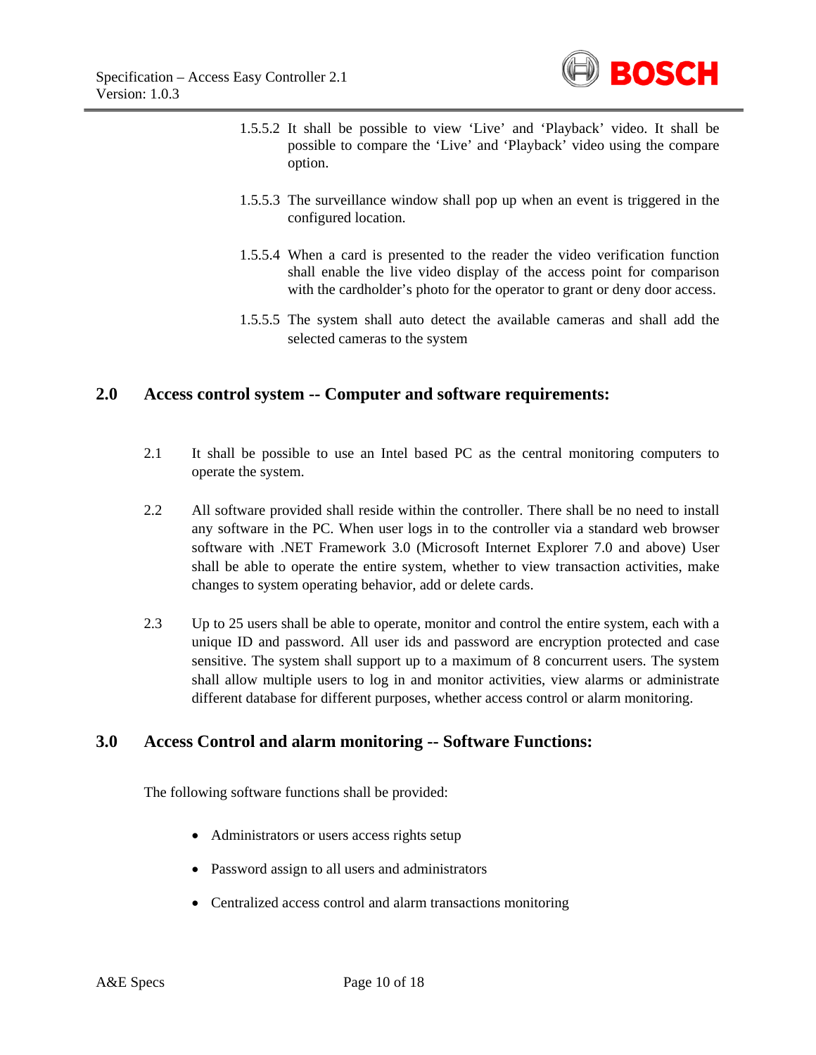

- <span id="page-9-0"></span>1.5.5.2 It shall be possible to view 'Live' and 'Playback' video. It shall be possible to compare the 'Live' and 'Playback' video using the compare option.
- 1.5.5.3 The surveillance window shall pop up when an event is triggered in the configured location.
- 1.5.5.4 When a card is presented to the reader the video verification function shall enable the live video display of the access point for comparison with the cardholder's photo for the operator to grant or deny door access.
- 1.5.5.5 The system shall auto detect the available cameras and shall add the selected cameras to the system

# **2.0 Access control system -- Computer and software requirements:**

- 2.1 It shall be possible to use an Intel based PC as the central monitoring computers to operate the system.
- 2.2 All software provided shall reside within the controller. There shall be no need to install any software in the PC. When user logs in to the controller via a standard web browser software with .NET Framework 3.0 (Microsoft Internet Explorer 7.0 and above) User shall be able to operate the entire system, whether to view transaction activities, make changes to system operating behavior, add or delete cards.
- 2.3 Up to 25 users shall be able to operate, monitor and control the entire system, each with a unique ID and password. All user ids and password are encryption protected and case sensitive. The system shall support up to a maximum of 8 concurrent users. The system shall allow multiple users to log in and monitor activities, view alarms or administrate different database for different purposes, whether access control or alarm monitoring.

# **3.0 Access Control and alarm monitoring -- Software Functions:**

The following software functions shall be provided:

- Administrators or users access rights setup
- Password assign to all users and administrators
- Centralized access control and alarm transactions monitoring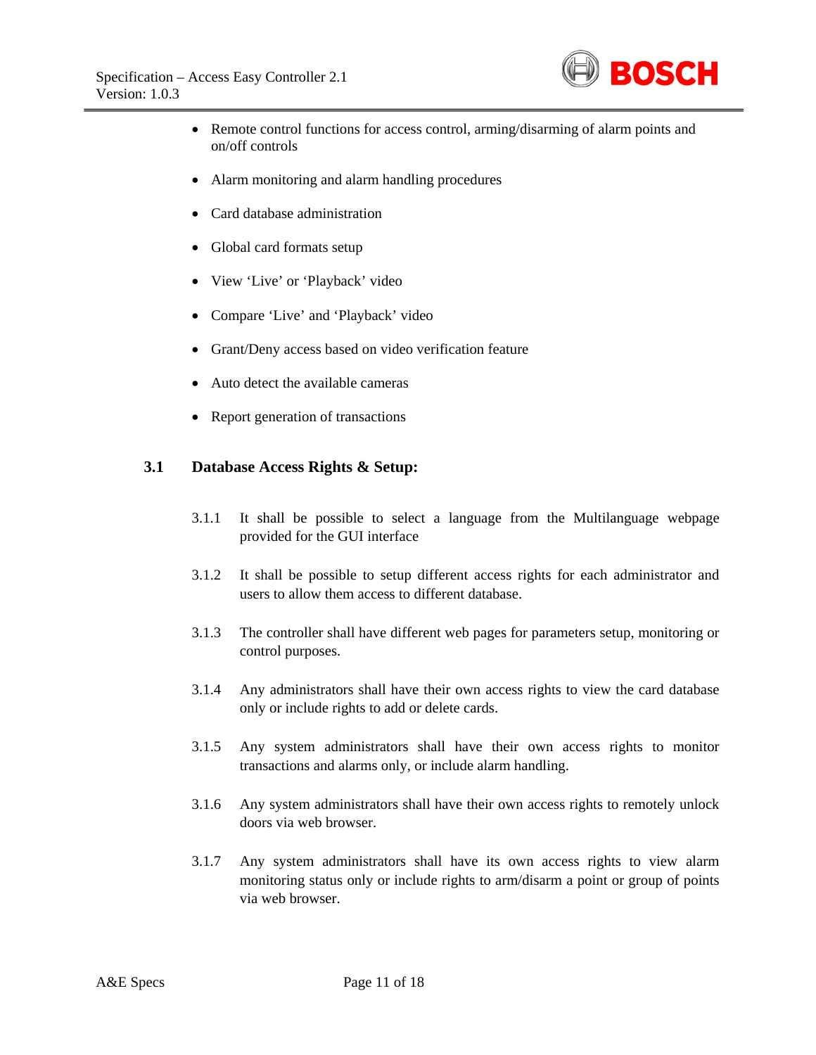

- Remote control functions for access control, arming/disarming of alarm points and on/off controls
- Alarm monitoring and alarm handling procedures
- Card database administration
- Global card formats setup
- View 'Live' or 'Playback' video
- Compare 'Live' and 'Playback' video
- Grant/Deny access based on video verification feature
- Auto detect the available cameras
- Report generation of transactions

# **3.1 Database Access Rights & Setup:**

- 3.1.1 It shall be possible to select a language from the Multilanguage webpage provided for the GUI interface
- 3.1.2 It shall be possible to setup different access rights for each administrator and users to allow them access to different database.
- 3.1.3 The controller shall have different web pages for parameters setup, monitoring or control purposes.
- 3.1.4 Any administrators shall have their own access rights to view the card database only or include rights to add or delete cards.
- 3.1.5 Any system administrators shall have their own access rights to monitor transactions and alarms only, or include alarm handling.
- 3.1.6 Any system administrators shall have their own access rights to remotely unlock doors via web browser.
- 3.1.7 Any system administrators shall have its own access rights to view alarm monitoring status only or include rights to arm/disarm a point or group of points via web browser.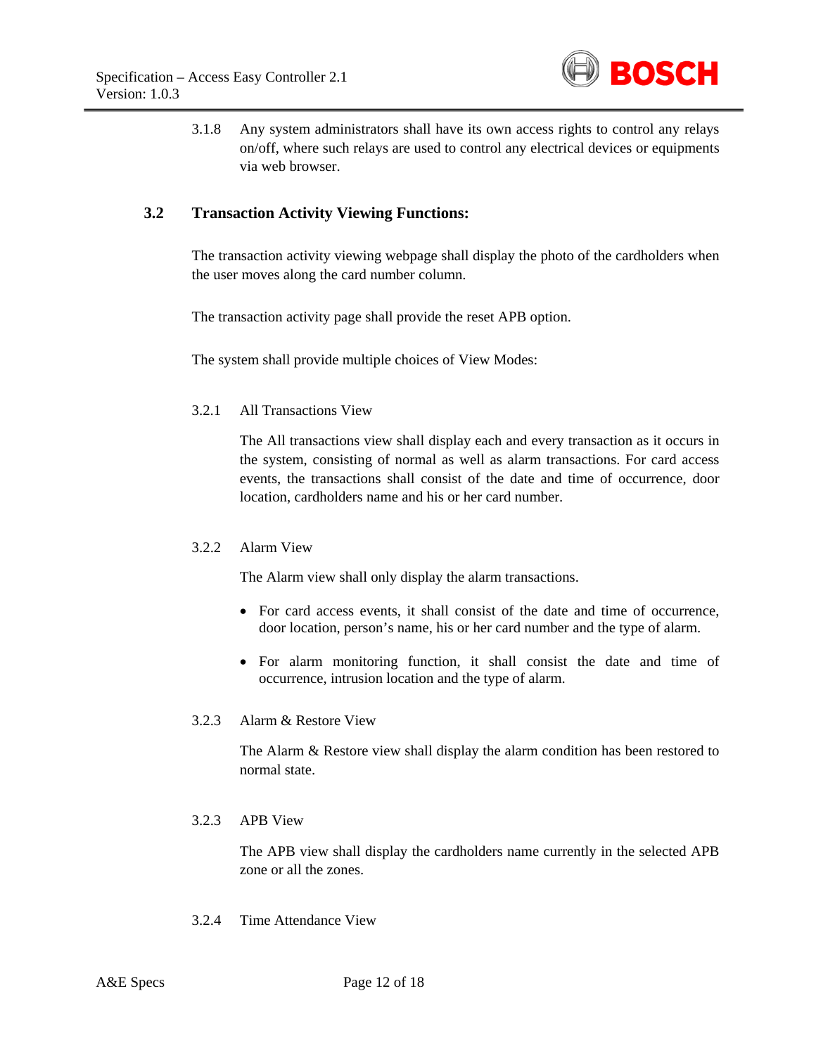

3.1.8 Any system administrators shall have its own access rights to control any relays on/off, where such relays are used to control any electrical devices or equipments via web browser.

# **3.2 Transaction Activity Viewing Functions:**

The transaction activity viewing webpage shall display the photo of the cardholders when the user moves along the card number column.

The transaction activity page shall provide the reset APB option.

The system shall provide multiple choices of View Modes:

3.2.1 All Transactions View

The All transactions view shall display each and every transaction as it occurs in the system, consisting of normal as well as alarm transactions. For card access events, the transactions shall consist of the date and time of occurrence, door location, cardholders name and his or her card number.

#### 3.2.2 Alarm View

The Alarm view shall only display the alarm transactions.

- For card access events, it shall consist of the date and time of occurrence, door location, person's name, his or her card number and the type of alarm.
- For alarm monitoring function, it shall consist the date and time of occurrence, intrusion location and the type of alarm.
- 3.2.3 Alarm & Restore View

The Alarm & Restore view shall display the alarm condition has been restored to normal state.

3.2.3 APB View

The APB view shall display the cardholders name currently in the selected APB zone or all the zones.

3.2.4 Time Attendance View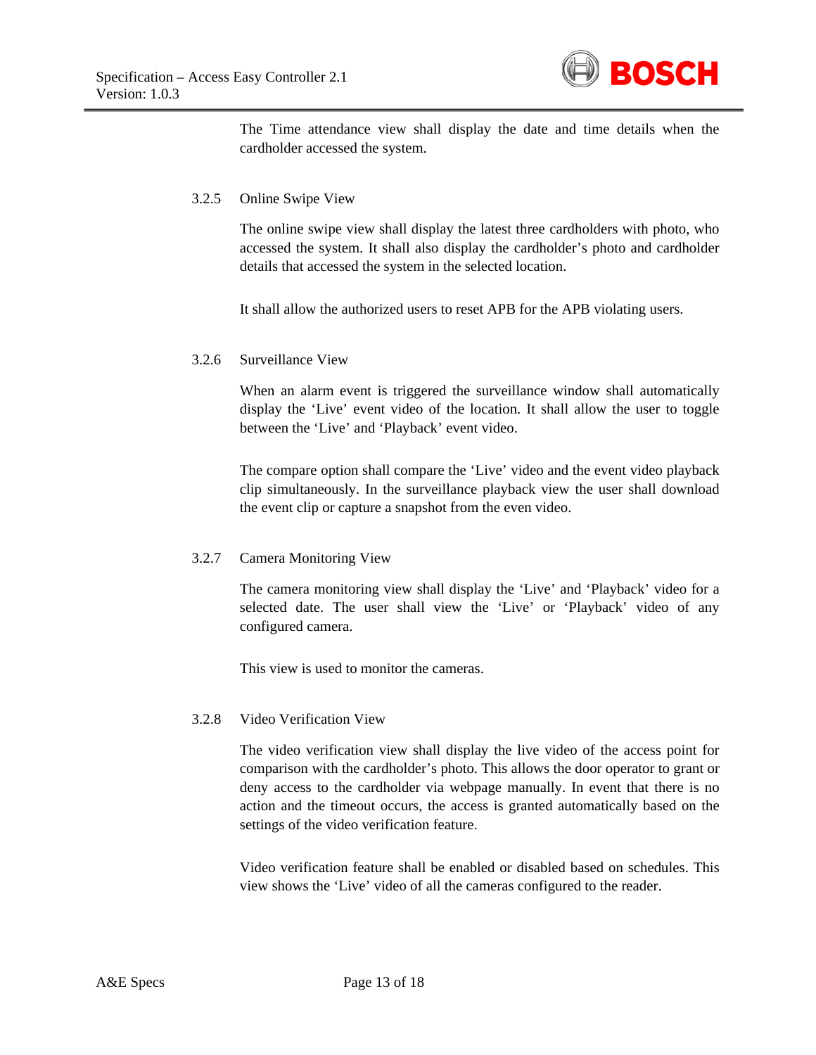

The Time attendance view shall display the date and time details when the cardholder accessed the system.

#### 3.2.5 Online Swipe View

The online swipe view shall display the latest three cardholders with photo, who accessed the system. It shall also display the cardholder's photo and cardholder details that accessed the system in the selected location.

It shall allow the authorized users to reset APB for the APB violating users.

#### 3.2.6 Surveillance View

When an alarm event is triggered the surveillance window shall automatically display the 'Live' event video of the location. It shall allow the user to toggle between the 'Live' and 'Playback' event video.

The compare option shall compare the 'Live' video and the event video playback clip simultaneously. In the surveillance playback view the user shall download the event clip or capture a snapshot from the even video.

#### 3.2.7 Camera Monitoring View

The camera monitoring view shall display the 'Live' and 'Playback' video for a selected date. The user shall view the 'Live' or 'Playback' video of any configured camera.

This view is used to monitor the cameras.

#### 3.2.8 Video Verification View

The video verification view shall display the live video of the access point for comparison with the cardholder's photo. This allows the door operator to grant or deny access to the cardholder via webpage manually. In event that there is no action and the timeout occurs, the access is granted automatically based on the settings of the video verification feature.

Video verification feature shall be enabled or disabled based on schedules. This view shows the 'Live' video of all the cameras configured to the reader.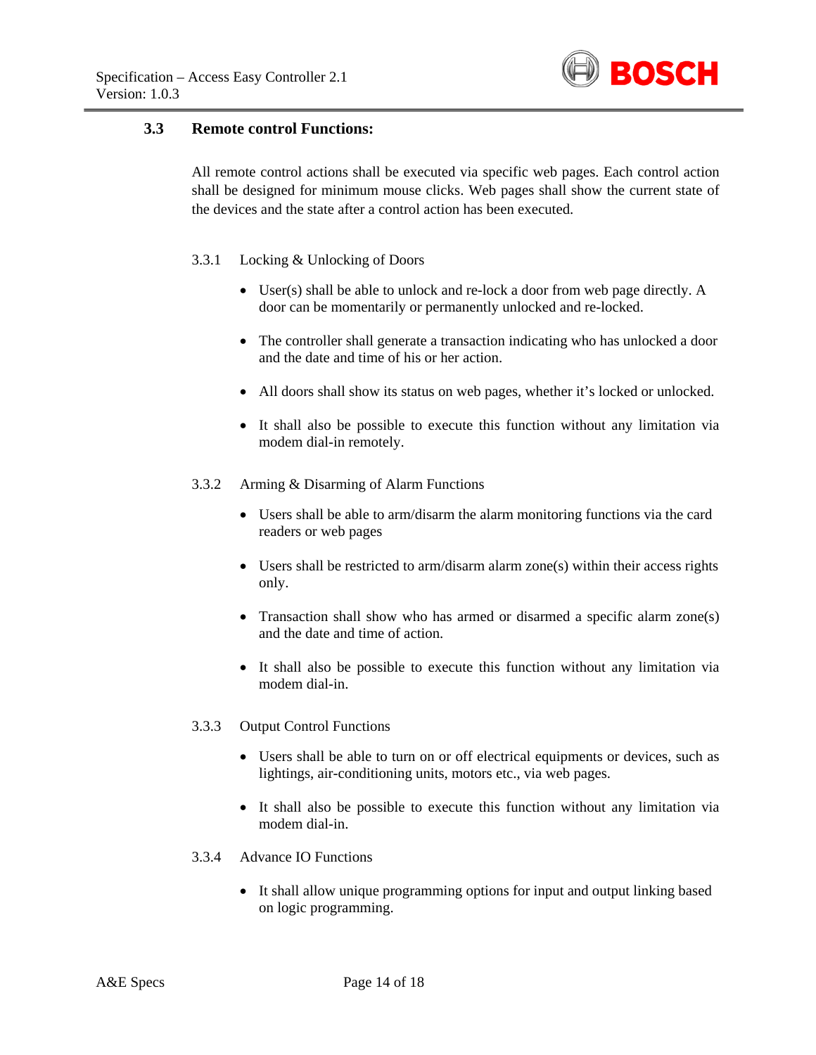

# **3.3 Remote control Functions:**

All remote control actions shall be executed via specific web pages. Each control action shall be designed for minimum mouse clicks. Web pages shall show the current state of the devices and the state after a control action has been executed.

- 3.3.1 Locking & Unlocking of Doors
	- User(s) shall be able to unlock and re-lock a door from web page directly. A door can be momentarily or permanently unlocked and re-locked.
	- The controller shall generate a transaction indicating who has unlocked a door and the date and time of his or her action.
	- All doors shall show its status on web pages, whether it's locked or unlocked.
	- It shall also be possible to execute this function without any limitation via modem dial-in remotely.
- 3.3.2 Arming & Disarming of Alarm Functions
	- Users shall be able to arm/disarm the alarm monitoring functions via the card readers or web pages
	- Users shall be restricted to arm/disarm alarm zone(s) within their access rights only.
	- Transaction shall show who has armed or disarmed a specific alarm zone(s) and the date and time of action.
	- It shall also be possible to execute this function without any limitation via modem dial-in.
- 3.3.3 Output Control Functions
	- Users shall be able to turn on or off electrical equipments or devices, such as lightings, air-conditioning units, motors etc., via web pages.
	- It shall also be possible to execute this function without any limitation via modem dial-in.
- 3.3.4 Advance IO Functions
	- It shall allow unique programming options for input and output linking based on logic programming.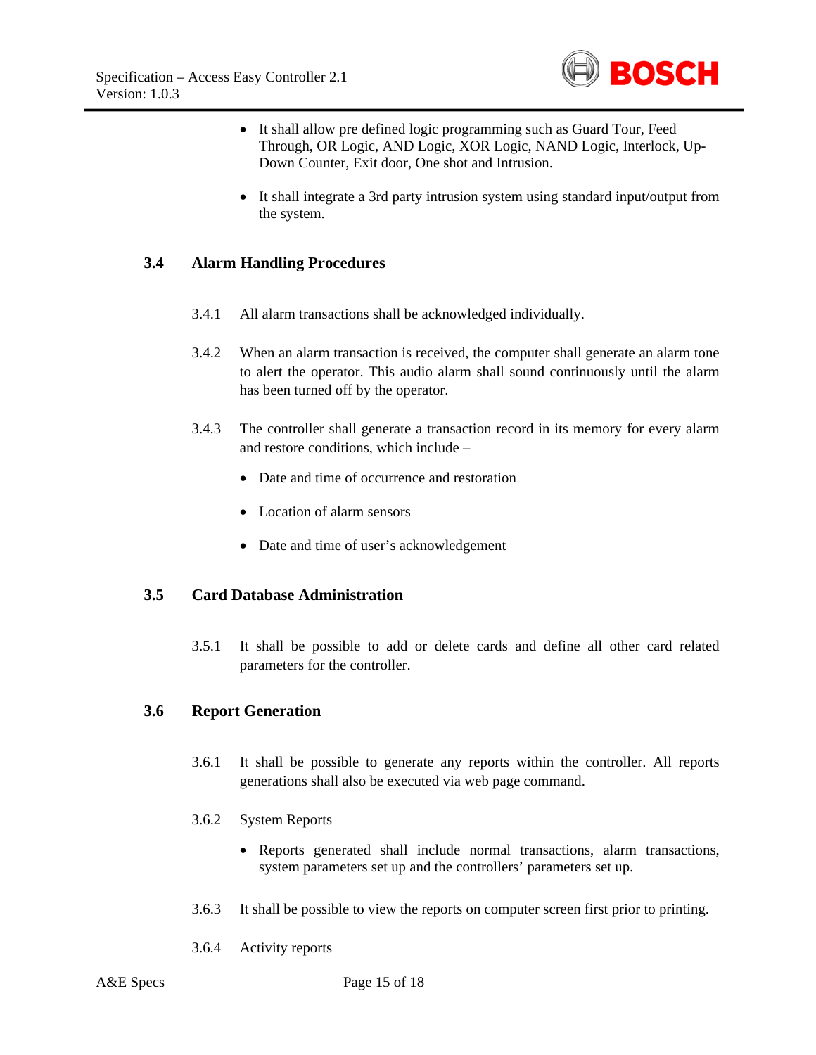

- It shall allow pre defined logic programming such as Guard Tour, Feed Through, OR Logic, AND Logic, XOR Logic, NAND Logic, Interlock, Up-Down Counter, Exit door, One shot and Intrusion.
- It shall integrate a 3rd party intrusion system using standard input/output from the system.

# **3.4 Alarm Handling Procedures**

- 3.4.1 All alarm transactions shall be acknowledged individually.
- 3.4.2 When an alarm transaction is received, the computer shall generate an alarm tone to alert the operator. This audio alarm shall sound continuously until the alarm has been turned off by the operator.
- 3.4.3 The controller shall generate a transaction record in its memory for every alarm and restore conditions, which include –
	- Date and time of occurrence and restoration
	- Location of alarm sensors
	- Date and time of user's acknowledgement

# **3.5 Card Database Administration**

3.5.1 It shall be possible to add or delete cards and define all other card related parameters for the controller.

# **3.6 Report Generation**

- 3.6.1 It shall be possible to generate any reports within the controller. All reports generations shall also be executed via web page command.
- 3.6.2 System Reports
	- Reports generated shall include normal transactions, alarm transactions, system parameters set up and the controllers' parameters set up.
- 3.6.3 It shall be possible to view the reports on computer screen first prior to printing.
- 3.6.4 Activity reports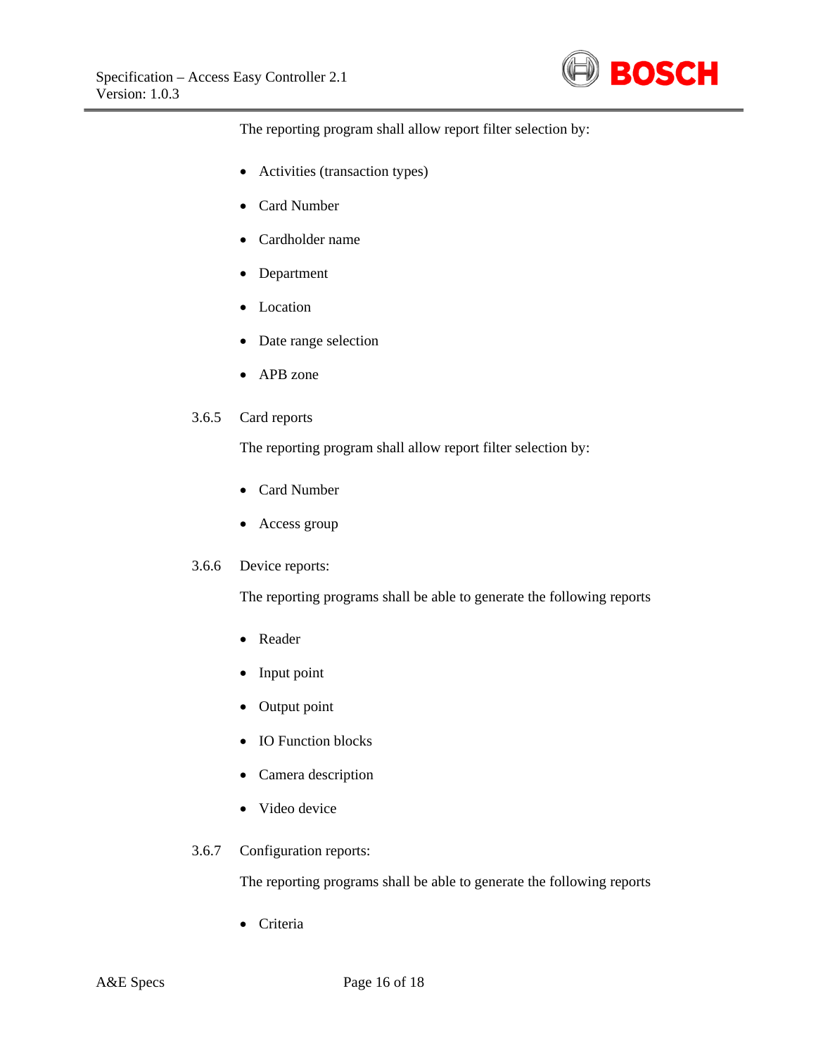

The reporting program shall allow report filter selection by:

- Activities (transaction types)
- Card Number
- Cardholder name
- Department
- Location
- Date range selection
- APB zone

#### 3.6.5 Card reports

The reporting program shall allow report filter selection by:

- Card Number
- Access group

#### 3.6.6 Device reports:

The reporting programs shall be able to generate the following reports

- Reader
- Input point
- Output point
- IO Function blocks
- Camera description
- Video device

#### 3.6.7 Configuration reports:

The reporting programs shall be able to generate the following reports

• Criteria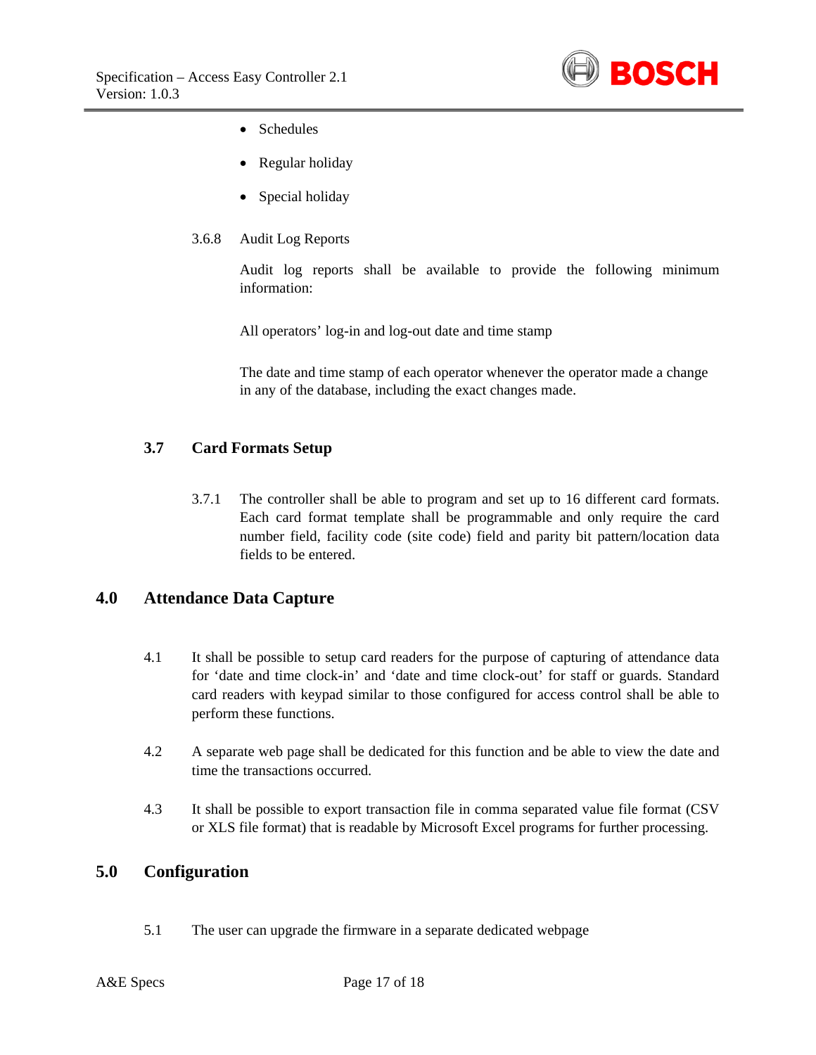

- <span id="page-16-0"></span>• Schedules
- Regular holiday
- Special holiday
- 3.6.8 Audit Log Reports

Audit log reports shall be available to provide the following minimum information:

All operators' log-in and log-out date and time stamp

The date and time stamp of each operator whenever the operator made a change in any of the database, including the exact changes made.

# **3.7 Card Formats Setup**

3.7.1 The controller shall be able to program and set up to 16 different card formats. Each card format template shall be programmable and only require the card number field, facility code (site code) field and parity bit pattern/location data fields to be entered.

# **4.0 Attendance Data Capture**

- 4.1 It shall be possible to setup card readers for the purpose of capturing of attendance data for 'date and time clock-in' and 'date and time clock-out' for staff or guards. Standard card readers with keypad similar to those configured for access control shall be able to perform these functions.
- 4.2 A separate web page shall be dedicated for this function and be able to view the date and time the transactions occurred.
- 4.3 It shall be possible to export transaction file in comma separated value file format (CSV or XLS file format) that is readable by Microsoft Excel programs for further processing.

# **5.0 Configuration**

5.1 The user can upgrade the firmware in a separate dedicated webpage